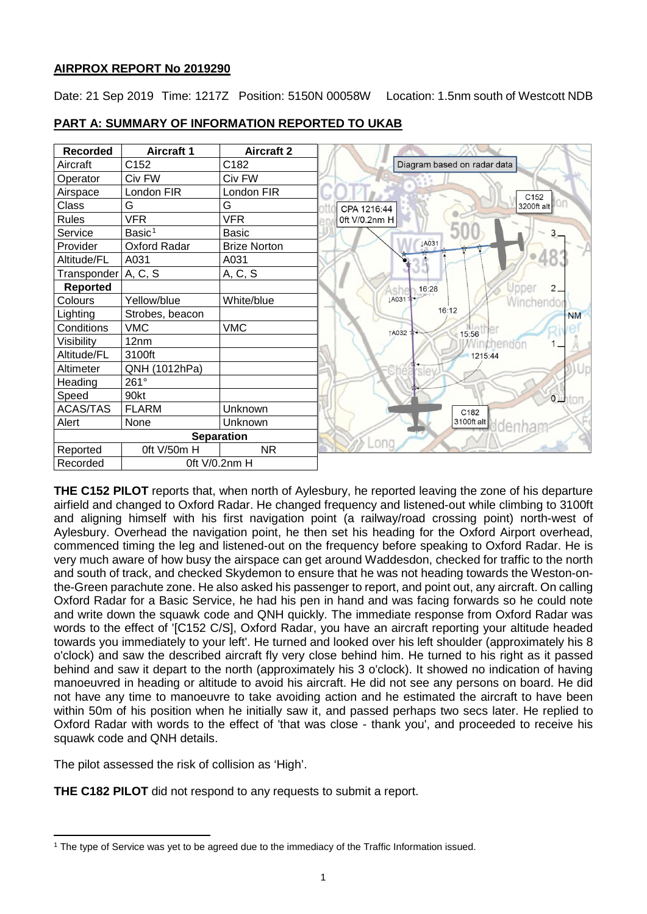## **AIRPROX REPORT No 2019290**

Date: 21 Sep 2019 Time: 1217Z Position: 5150N 00058W Location: 1.5nm south of Westcott NDB

| <b>Recorded</b>           | <b>Aircraft 1</b>  | <b>Aircraft 2</b>   |
|---------------------------|--------------------|---------------------|
| Aircraft                  | C152               | C182                |
| Operator                  | Civ FW             | Civ FW              |
| Airspace                  | London FIR         | London FIR          |
| Class                     | G                  | G                   |
| <b>Rules</b>              | <b>VFR</b>         | <b>VFR</b>          |
| Service                   | Basic <sup>1</sup> | <b>Basic</b>        |
| Provider                  | Oxford Radar       | <b>Brize Norton</b> |
| Altitude/FL               | A031               | A031                |
| Transponder   A, C, S     |                    | A, C, S             |
| <b>Reported</b>           |                    |                     |
| Colours                   | Yellow/blue        | White/blue          |
| Lighting                  | Strobes, beacon    |                     |
| Conditions                | <b>VMC</b>         | <b>VMC</b>          |
| Visibility                | 12nm               |                     |
| Altitude/FL               | 3100ft             |                     |
| Altimeter                 | QNH (1012hPa)      |                     |
| Heading                   | 261°               |                     |
| Speed                     | 90kt               |                     |
| <b>ACAS/TAS</b>           | <b>FLARM</b>       | Unknown             |
| Alert                     | None               | Unknown             |
|                           |                    | <b>Separation</b>   |
| Reported                  | Oft V/50m H        | <b>NR</b>           |
| Oft V/0.2nm H<br>Recorded |                    |                     |

## **PART A: SUMMARY OF INFORMATION REPORTED TO UKAB**

**THE C152 PILOT** reports that, when north of Aylesbury, he reported leaving the zone of his departure airfield and changed to Oxford Radar. He changed frequency and listened-out while climbing to 3100ft and aligning himself with his first navigation point (a railway/road crossing point) north-west of Aylesbury. Overhead the navigation point, he then set his heading for the Oxford Airport overhead, commenced timing the leg and listened-out on the frequency before speaking to Oxford Radar. He is very much aware of how busy the airspace can get around Waddesdon, checked for traffic to the north and south of track, and checked Skydemon to ensure that he was not heading towards the Weston-onthe-Green parachute zone. He also asked his passenger to report, and point out, any aircraft. On calling Oxford Radar for a Basic Service, he had his pen in hand and was facing forwards so he could note and write down the squawk code and QNH quickly. The immediate response from Oxford Radar was words to the effect of '[C152 C/S], Oxford Radar, you have an aircraft reporting your altitude headed towards you immediately to your left'. He turned and looked over his left shoulder (approximately his 8 o'clock) and saw the described aircraft fly very close behind him. He turned to his right as it passed behind and saw it depart to the north (approximately his 3 o'clock). It showed no indication of having manoeuvred in heading or altitude to avoid his aircraft. He did not see any persons on board. He did not have any time to manoeuvre to take avoiding action and he estimated the aircraft to have been within 50m of his position when he initially saw it, and passed perhaps two secs later. He replied to Oxford Radar with words to the effect of 'that was close - thank you', and proceeded to receive his squawk code and QNH details.

The pilot assessed the risk of collision as 'High'.

**THE C182 PILOT** did not respond to any requests to submit a report.

<span id="page-0-0"></span>l <sup>1</sup> The type of Service was yet to be agreed due to the immediacy of the Traffic Information issued.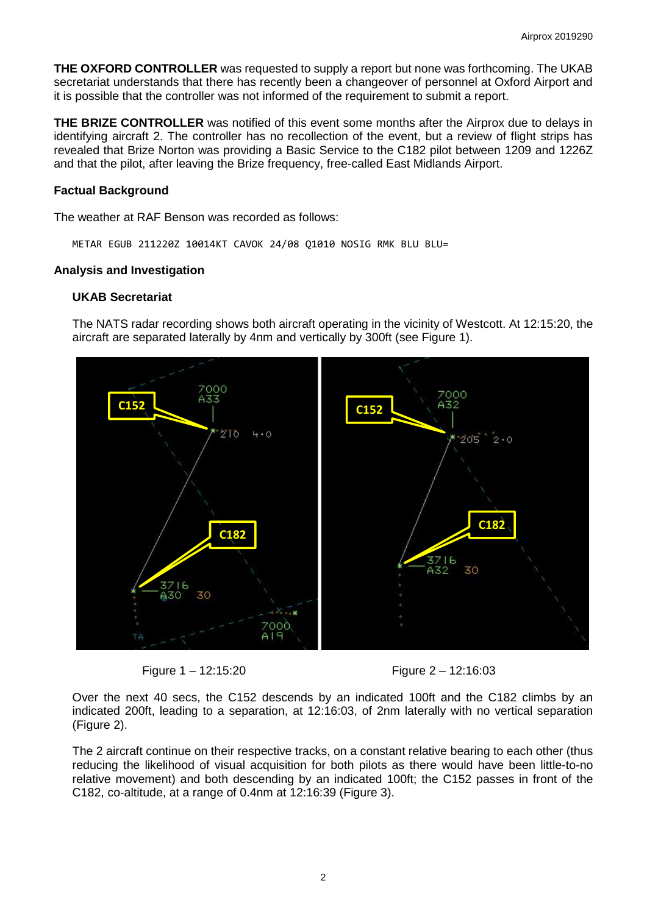**THE OXFORD CONTROLLER** was requested to supply a report but none was forthcoming. The UKAB secretariat understands that there has recently been a changeover of personnel at Oxford Airport and it is possible that the controller was not informed of the requirement to submit a report.

**THE BRIZE CONTROLLER** was notified of this event some months after the Airprox due to delays in identifying aircraft 2. The controller has no recollection of the event, but a review of flight strips has revealed that Brize Norton was providing a Basic Service to the C182 pilot between 1209 and 1226Z and that the pilot, after leaving the Brize frequency, free-called East Midlands Airport.

### **Factual Background**

The weather at RAF Benson was recorded as follows:

METAR EGUB 211220Z 10014KT CAVOK 24/08 Q1010 NOSIG RMK BLU BLU=

### **Analysis and Investigation**

#### **UKAB Secretariat**

The NATS radar recording shows both aircraft operating in the vicinity of Westcott. At 12:15:20, the aircraft are separated laterally by 4nm and vertically by 300ft (see Figure 1).



Figure 1 – 12:15:20 Figure 2 – 12:16:03

Over the next 40 secs, the C152 descends by an indicated 100ft and the C182 climbs by an indicated 200ft, leading to a separation, at 12:16:03, of 2nm laterally with no vertical separation (Figure 2).

The 2 aircraft continue on their respective tracks, on a constant relative bearing to each other (thus reducing the likelihood of visual acquisition for both pilots as there would have been little-to-no relative movement) and both descending by an indicated 100ft; the C152 passes in front of the C182, co-altitude, at a range of 0.4nm at 12:16:39 (Figure 3).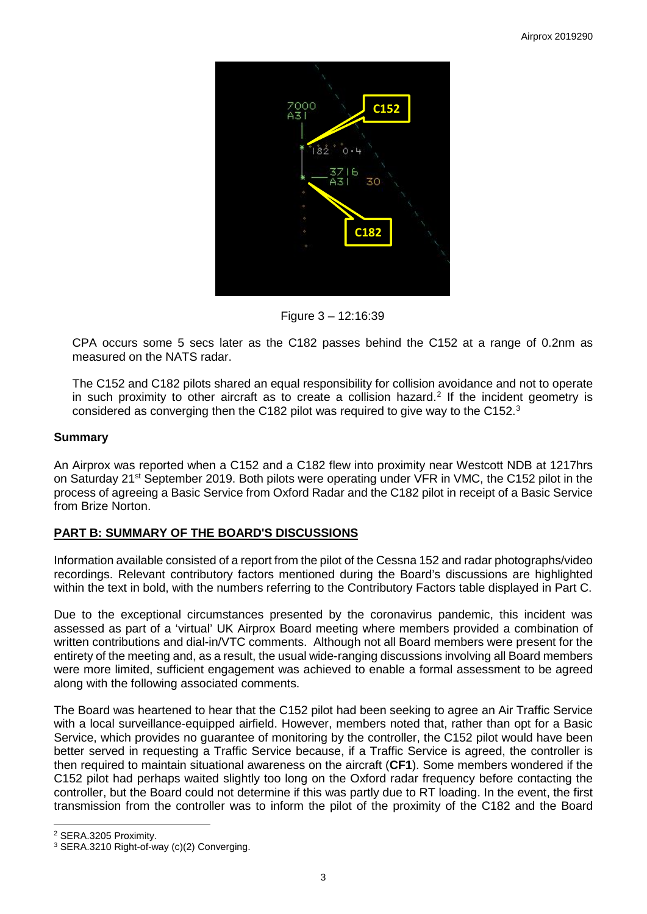

Figure 3 – 12:16:39

CPA occurs some 5 secs later as the C182 passes behind the C152 at a range of 0.2nm as measured on the NATS radar.

The C152 and C182 pilots shared an equal responsibility for collision avoidance and not to operate in such proximity to other aircraft as to create a collision hazard.<sup>[2](#page-2-0)</sup> If the incident geometry is considered as converging then the C182 pilot was required to give way to the C152. $^3$  $^3$ 

## **Summary**

An Airprox was reported when a C152 and a C182 flew into proximity near Westcott NDB at 1217hrs on Saturday 21<sup>st</sup> September 2019. Both pilots were operating under VFR in VMC, the C152 pilot in the process of agreeing a Basic Service from Oxford Radar and the C182 pilot in receipt of a Basic Service from Brize Norton.

## **PART B: SUMMARY OF THE BOARD'S DISCUSSIONS**

Information available consisted of a report from the pilot of the Cessna 152 and radar photographs/video recordings. Relevant contributory factors mentioned during the Board's discussions are highlighted within the text in bold, with the numbers referring to the Contributory Factors table displayed in Part C.

Due to the exceptional circumstances presented by the coronavirus pandemic, this incident was assessed as part of a 'virtual' UK Airprox Board meeting where members provided a combination of written contributions and dial-in/VTC comments. Although not all Board members were present for the entirety of the meeting and, as a result, the usual wide-ranging discussions involving all Board members were more limited, sufficient engagement was achieved to enable a formal assessment to be agreed along with the following associated comments.

The Board was heartened to hear that the C152 pilot had been seeking to agree an Air Traffic Service with a local surveillance-equipped airfield. However, members noted that, rather than opt for a Basic Service, which provides no guarantee of monitoring by the controller, the C152 pilot would have been better served in requesting a Traffic Service because, if a Traffic Service is agreed, the controller is then required to maintain situational awareness on the aircraft (**CF1**). Some members wondered if the C152 pilot had perhaps waited slightly too long on the Oxford radar frequency before contacting the controller, but the Board could not determine if this was partly due to RT loading. In the event, the first transmission from the controller was to inform the pilot of the proximity of the C182 and the Board

 $\overline{\phantom{a}}$ 

<span id="page-2-0"></span><sup>2</sup> SERA.3205 Proximity.

<span id="page-2-1"></span><sup>3</sup> SERA.3210 Right-of-way (c)(2) Converging.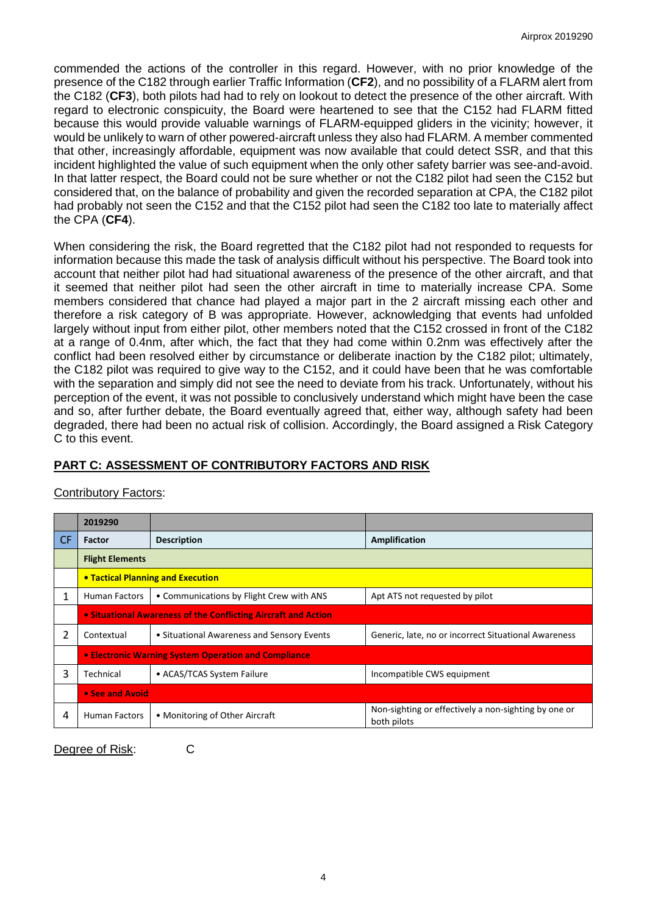commended the actions of the controller in this regard. However, with no prior knowledge of the presence of the C182 through earlier Traffic Information (**CF2**), and no possibility of a FLARM alert from the C182 (**CF3**), both pilots had had to rely on lookout to detect the presence of the other aircraft. With regard to electronic conspicuity, the Board were heartened to see that the C152 had FLARM fitted because this would provide valuable warnings of FLARM-equipped gliders in the vicinity; however, it would be unlikely to warn of other powered-aircraft unless they also had FLARM. A member commented that other, increasingly affordable, equipment was now available that could detect SSR, and that this incident highlighted the value of such equipment when the only other safety barrier was see-and-avoid. In that latter respect, the Board could not be sure whether or not the C182 pilot had seen the C152 but considered that, on the balance of probability and given the recorded separation at CPA, the C182 pilot had probably not seen the C152 and that the C152 pilot had seen the C182 too late to materially affect the CPA (**CF4**).

When considering the risk, the Board regretted that the C182 pilot had not responded to requests for information because this made the task of analysis difficult without his perspective. The Board took into account that neither pilot had had situational awareness of the presence of the other aircraft, and that it seemed that neither pilot had seen the other aircraft in time to materially increase CPA. Some members considered that chance had played a major part in the 2 aircraft missing each other and therefore a risk category of B was appropriate. However, acknowledging that events had unfolded largely without input from either pilot, other members noted that the C152 crossed in front of the C182 at a range of 0.4nm, after which, the fact that they had come within 0.2nm was effectively after the conflict had been resolved either by circumstance or deliberate inaction by the C182 pilot; ultimately, the C182 pilot was required to give way to the C152, and it could have been that he was comfortable with the separation and simply did not see the need to deviate from his track. Unfortunately, without his perception of the event, it was not possible to conclusively understand which might have been the case and so, after further debate, the Board eventually agreed that, either way, although safety had been degraded, there had been no actual risk of collision. Accordingly, the Board assigned a Risk Category C to this event.

# **PART C: ASSESSMENT OF CONTRIBUTORY FACTORS AND RISK**

|     | 2019290                                                        |                                            |                                                                     |  |  |  |  |  |  |
|-----|----------------------------------------------------------------|--------------------------------------------|---------------------------------------------------------------------|--|--|--|--|--|--|
| CF. | Factor                                                         | <b>Description</b>                         | Amplification                                                       |  |  |  |  |  |  |
|     | <b>Flight Elements</b>                                         |                                            |                                                                     |  |  |  |  |  |  |
|     | <b>• Tactical Planning and Execution</b>                       |                                            |                                                                     |  |  |  |  |  |  |
| 1   | <b>Human Factors</b>                                           | • Communications by Flight Crew with ANS   | Apt ATS not requested by pilot                                      |  |  |  |  |  |  |
|     | • Situational Awareness of the Conflicting Aircraft and Action |                                            |                                                                     |  |  |  |  |  |  |
| 2   | Contextual                                                     | • Situational Awareness and Sensory Events | Generic, late, no or incorrect Situational Awareness                |  |  |  |  |  |  |
|     | • Electronic Warning System Operation and Compliance           |                                            |                                                                     |  |  |  |  |  |  |
| 3   | Technical                                                      | • ACAS/TCAS System Failure                 | Incompatible CWS equipment                                          |  |  |  |  |  |  |
|     | • See and Avoid                                                |                                            |                                                                     |  |  |  |  |  |  |
| 4   | <b>Human Factors</b>                                           | • Monitoring of Other Aircraft             | Non-sighting or effectively a non-sighting by one or<br>both pilots |  |  |  |  |  |  |

## Contributory Factors:

Degree of Risk: C